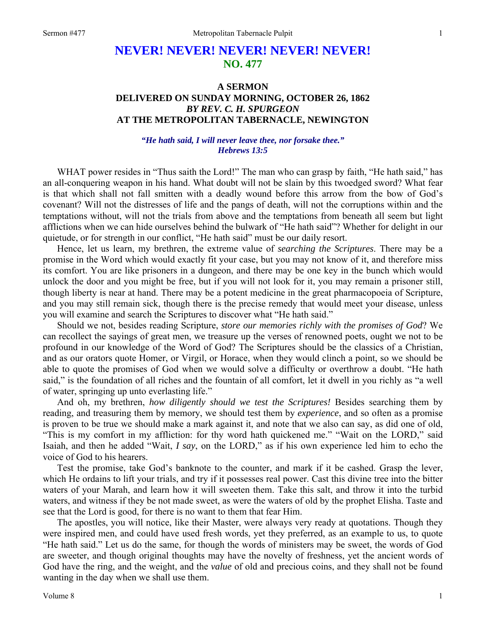## **NEVER! NEVER! NEVER! NEVER! NEVER! NO. 477**

## **A SERMON DELIVERED ON SUNDAY MORNING, OCTOBER 26, 1862**  *BY REV. C. H. SPURGEON*  **AT THE METROPOLITAN TABERNACLE, NEWINGTON**

## *"He hath said, I will never leave thee, nor forsake thee." Hebrews 13:5*

WHAT power resides in "Thus saith the Lord!" The man who can grasp by faith, "He hath said," has an all-conquering weapon in his hand. What doubt will not be slain by this twoedged sword? What fear is that which shall not fall smitten with a deadly wound before this arrow from the bow of God's covenant? Will not the distresses of life and the pangs of death, will not the corruptions within and the temptations without, will not the trials from above and the temptations from beneath all seem but light afflictions when we can hide ourselves behind the bulwark of "He hath said"? Whether for delight in our quietude, or for strength in our conflict, "He hath said" must be our daily resort.

Hence, let us learn, my brethren, the extreme value of *searching the Scriptures*. There may be a promise in the Word which would exactly fit your case, but you may not know of it, and therefore miss its comfort. You are like prisoners in a dungeon, and there may be one key in the bunch which would unlock the door and you might be free, but if you will not look for it, you may remain a prisoner still, though liberty is near at hand. There may be a potent medicine in the great pharmacopoeia of Scripture, and you may still remain sick, though there is the precise remedy that would meet your disease, unless you will examine and search the Scriptures to discover what "He hath said."

Should we not, besides reading Scripture, *store our memories richly with the promises of God*? We can recollect the sayings of great men, we treasure up the verses of renowned poets, ought we not to be profound in our knowledge of the Word of God? The Scriptures should be the classics of a Christian, and as our orators quote Homer, or Virgil, or Horace, when they would clinch a point, so we should be able to quote the promises of God when we would solve a difficulty or overthrow a doubt. "He hath said," is the foundation of all riches and the fountain of all comfort, let it dwell in you richly as "a well of water, springing up unto everlasting life."

And oh, my brethren, *how diligently should we test the Scriptures!* Besides searching them by reading, and treasuring them by memory, we should test them by *experience*, and so often as a promise is proven to be true we should make a mark against it, and note that we also can say, as did one of old, "This is my comfort in my affliction: for thy word hath quickened me." "Wait on the LORD," said Isaiah, and then he added "Wait, *I say*, on the LORD," as if his own experience led him to echo the voice of God to his hearers.

Test the promise, take God's banknote to the counter, and mark if it be cashed. Grasp the lever, which He ordains to lift your trials, and try if it possesses real power. Cast this divine tree into the bitter waters of your Marah, and learn how it will sweeten them. Take this salt, and throw it into the turbid waters, and witness if they be not made sweet, as were the waters of old by the prophet Elisha. Taste and see that the Lord is good, for there is no want to them that fear Him.

The apostles, you will notice, like their Master, were always very ready at quotations. Though they were inspired men, and could have used fresh words, yet they preferred, as an example to us, to quote "He hath said." Let us do the same, for though the words of ministers may be sweet, the words of God are sweeter, and though original thoughts may have the novelty of freshness, yet the ancient words of God have the ring, and the weight, and the *value* of old and precious coins, and they shall not be found wanting in the day when we shall use them.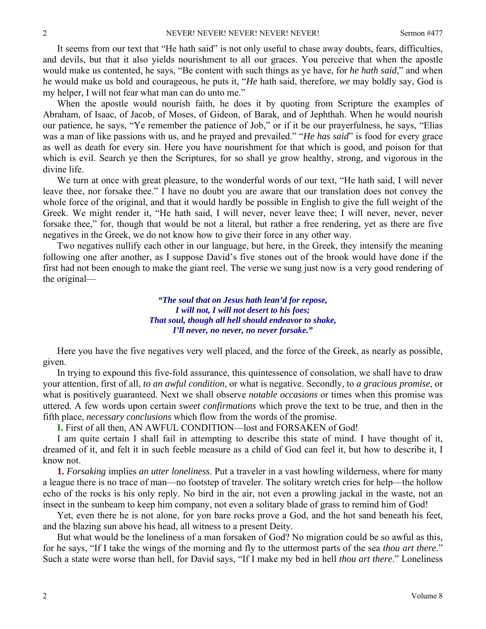It seems from our text that "He hath said" is not only useful to chase away doubts, fears, difficulties, and devils, but that it also yields nourishment to all our graces. You perceive that when the apostle would make us contented, he says, "Be content with such things as ye have, for *he hath said*," and when he would make us bold and courageous, he puts it, "*He* hath said, therefore, *we* may boldly say, God is my helper, I will not fear what man can do unto me."

When the apostle would nourish faith, he does it by quoting from Scripture the examples of Abraham, of Isaac, of Jacob, of Moses, of Gideon, of Barak, and of Jephthah. When he would nourish our patience, he says, "Ye remember the patience of Job," or if it be our prayerfulness, he says, "Elias was a man of like passions with us, and he prayed and prevailed." "*He has said*" is food for every grace as well as death for every sin. Here you have nourishment for that which is good, and poison for that which is evil. Search ye then the Scriptures, for so shall ye grow healthy, strong, and vigorous in the divine life.

We turn at once with great pleasure, to the wonderful words of our text, "He hath said, I will never leave thee, nor forsake thee." I have no doubt you are aware that our translation does not convey the whole force of the original, and that it would hardly be possible in English to give the full weight of the Greek. We might render it, "He hath said, I will never, never leave thee; I will never, never, never forsake thee," for, though that would be not a literal, but rather a free rendering, yet as there are five negatives in the Greek, we do not know how to give their force in any other way.

Two negatives nullify each other in our language, but here, in the Greek, they intensify the meaning following one after another, as I suppose David's five stones out of the brook would have done if the first had not been enough to make the giant reel. The verse we sung just now is a very good rendering of the original—

> *"The soul that on Jesus hath lean'd for repose, I will not, I will not desert to his foes; That soul, though all hell should endeavor to shake, I'll never, no never, no never forsake."*

Here you have the five negatives very well placed, and the force of the Greek, as nearly as possible, given.

In trying to expound this five-fold assurance, this quintessence of consolation, we shall have to draw your attention, first of all, *to an awful condition*, or what is negative. Secondly, to *a gracious promise*, or what is positively guaranteed. Next we shall observe *notable occasions* or times when this promise was uttered. A few words upon certain *sweet confirmations* which prove the text to be true, and then in the fifth place, *necessary conclusions* which flow from the words of the promise.

**I.** First of all then, AN AWFUL CONDITION—lost and FORSAKEN of God!

I am quite certain I shall fail in attempting to describe this state of mind. I have thought of it, dreamed of it, and felt it in such feeble measure as a child of God can feel it, but how to describe it, I know not.

**1.** *Forsaking* implies *an utter loneliness*. Put a traveler in a vast howling wilderness, where for many a league there is no trace of man—no footstep of traveler. The solitary wretch cries for help—the hollow echo of the rocks is his only reply. No bird in the air, not even a prowling jackal in the waste, not an insect in the sunbeam to keep him company, not even a solitary blade of grass to remind him of God!

Yet, even there he is not alone, for yon bare rocks prove a God, and the hot sand beneath his feet, and the blazing sun above his head, all witness to a present Deity.

But what would be the loneliness of a man forsaken of God? No migration could be so awful as this, for he says, "If I take the wings of the morning and fly to the uttermost parts of the sea *thou art there*." Such a state were worse than hell, for David says, "If I make my bed in hell *thou art there*." Loneliness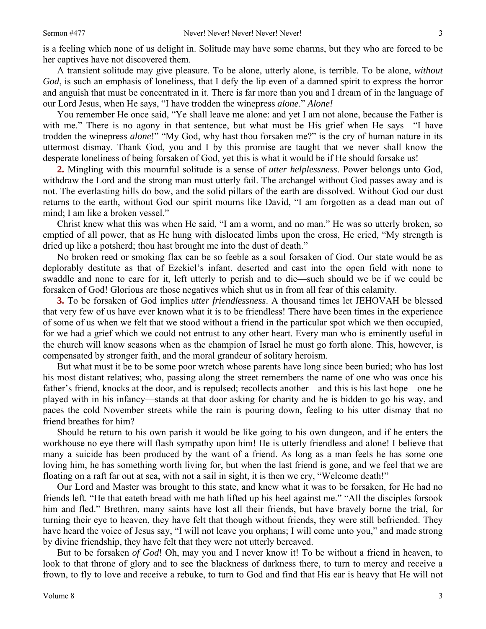is a feeling which none of us delight in. Solitude may have some charms, but they who are forced to be her captives have not discovered them.

A transient solitude may give pleasure. To be alone, utterly alone, is terrible. To be alone, *without God*, is such an emphasis of loneliness, that I defy the lip even of a damned spirit to express the horror and anguish that must be concentrated in it. There is far more than you and I dream of in the language of our Lord Jesus, when He says, "I have trodden the winepress *alone*." *Alone!*

You remember He once said, "Ye shall leave me alone: and yet I am not alone, because the Father is with me." There is no agony in that sentence, but what must be His grief when He says—"I have trodden the winepress *alone*!" "My God, why hast thou forsaken me?" is the cry of human nature in its uttermost dismay. Thank God, you and I by this promise are taught that we never shall know the desperate loneliness of being forsaken of God, yet this is what it would be if He should forsake us!

**2.** Mingling with this mournful solitude is a sense of *utter helplessness*. Power belongs unto God, withdraw the Lord and the strong man must utterly fail. The archangel without God passes away and is not. The everlasting hills do bow, and the solid pillars of the earth are dissolved. Without God our dust returns to the earth, without God our spirit mourns like David, "I am forgotten as a dead man out of mind; I am like a broken vessel."

Christ knew what this was when He said, "I am a worm, and no man." He was so utterly broken, so emptied of all power, that as He hung with dislocated limbs upon the cross, He cried, "My strength is dried up like a potsherd; thou hast brought me into the dust of death."

No broken reed or smoking flax can be so feeble as a soul forsaken of God. Our state would be as deplorably destitute as that of Ezekiel's infant, deserted and cast into the open field with none to swaddle and none to care for it, left utterly to perish and to die—such should we be if we could be forsaken of God! Glorious are those negatives which shut us in from all fear of this calamity.

**3.** To be forsaken of God implies *utter friendlessness*. A thousand times let JEHOVAH be blessed that very few of us have ever known what it is to be friendless! There have been times in the experience of some of us when we felt that we stood without a friend in the particular spot which we then occupied, for we had a grief which we could not entrust to any other heart. Every man who is eminently useful in the church will know seasons when as the champion of Israel he must go forth alone. This, however, is compensated by stronger faith, and the moral grandeur of solitary heroism.

But what must it be to be some poor wretch whose parents have long since been buried; who has lost his most distant relatives; who, passing along the street remembers the name of one who was once his father's friend, knocks at the door, and is repulsed; recollects another—and this is his last hope—one he played with in his infancy—stands at that door asking for charity and he is bidden to go his way, and paces the cold November streets while the rain is pouring down, feeling to his utter dismay that no friend breathes for him?

Should he return to his own parish it would be like going to his own dungeon, and if he enters the workhouse no eye there will flash sympathy upon him! He is utterly friendless and alone! I believe that many a suicide has been produced by the want of a friend. As long as a man feels he has some one loving him, he has something worth living for, but when the last friend is gone, and we feel that we are floating on a raft far out at sea, with not a sail in sight, it is then we cry, "Welcome death!"

Our Lord and Master was brought to this state, and knew what it was to be forsaken, for He had no friends left. "He that eateth bread with me hath lifted up his heel against me." "All the disciples forsook him and fled." Brethren, many saints have lost all their friends, but have bravely borne the trial, for turning their eye to heaven, they have felt that though without friends, they were still befriended. They have heard the voice of Jesus say, "I will not leave you orphans; I will come unto you," and made strong by divine friendship, they have felt that they were not utterly bereaved.

But to be forsaken *of God*! Oh, may you and I never know it! To be without a friend in heaven, to look to that throne of glory and to see the blackness of darkness there, to turn to mercy and receive a frown, to fly to love and receive a rebuke, to turn to God and find that His ear is heavy that He will not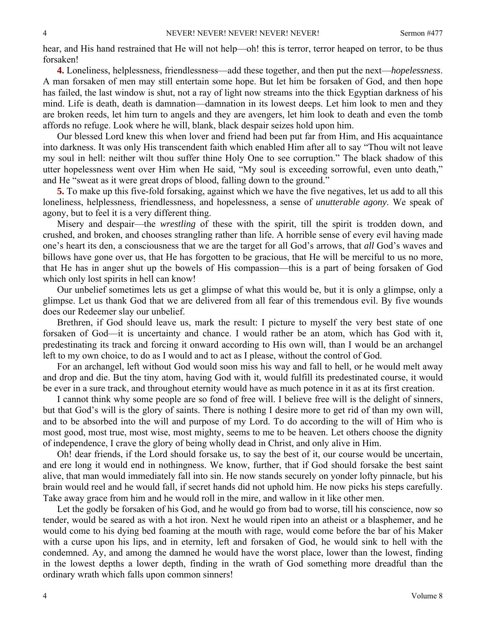hear, and His hand restrained that He will not help—oh! this is terror, terror heaped on terror, to be thus forsaken!

**4.** Loneliness, helplessness, friendlessness—add these together, and then put the next—*hopelessness*. A man forsaken of men may still entertain some hope. But let him be forsaken of God, and then hope has failed, the last window is shut, not a ray of light now streams into the thick Egyptian darkness of his mind. Life is death, death is damnation—damnation in its lowest deeps. Let him look to men and they are broken reeds, let him turn to angels and they are avengers, let him look to death and even the tomb affords no refuge. Look where he will, blank, black despair seizes hold upon him.

Our blessed Lord knew this when lover and friend had been put far from Him, and His acquaintance into darkness. It was only His transcendent faith which enabled Him after all to say "Thou wilt not leave my soul in hell: neither wilt thou suffer thine Holy One to see corruption." The black shadow of this utter hopelessness went over Him when He said, "My soul is exceeding sorrowful, even unto death," and He "sweat as it were great drops of blood, falling down to the ground."

**5.** To make up this five-fold forsaking, against which we have the five negatives, let us add to all this loneliness, helplessness, friendlessness, and hopelessness, a sense of *unutterable agony*. We speak of agony, but to feel it is a very different thing.

Misery and despair—the *wrestling* of these with the spirit, till the spirit is trodden down, and crushed, and broken, and chooses strangling rather than life. A horrible sense of every evil having made one's heart its den, a consciousness that we are the target for all God's arrows, that *all* God's waves and billows have gone over us, that He has forgotten to be gracious, that He will be merciful to us no more, that He has in anger shut up the bowels of His compassion—this is a part of being forsaken of God which only lost spirits in hell can know!

Our unbelief sometimes lets us get a glimpse of what this would be, but it is only a glimpse, only a glimpse. Let us thank God that we are delivered from all fear of this tremendous evil. By five wounds does our Redeemer slay our unbelief.

Brethren, if God should leave us, mark the result: I picture to myself the very best state of one forsaken of God—it is uncertainty and chance. I would rather be an atom, which has God with it, predestinating its track and forcing it onward according to His own will, than I would be an archangel left to my own choice, to do as I would and to act as I please, without the control of God.

For an archangel, left without God would soon miss his way and fall to hell, or he would melt away and drop and die. But the tiny atom, having God with it, would fulfill its predestinated course, it would be ever in a sure track, and throughout eternity would have as much potence in it as at its first creation.

I cannot think why some people are so fond of free will. I believe free will is the delight of sinners, but that God's will is the glory of saints. There is nothing I desire more to get rid of than my own will, and to be absorbed into the will and purpose of my Lord. To do according to the will of Him who is most good, most true, most wise, most mighty, seems to me to be heaven. Let others choose the dignity of independence, I crave the glory of being wholly dead in Christ, and only alive in Him.

Oh! dear friends, if the Lord should forsake us, to say the best of it, our course would be uncertain, and ere long it would end in nothingness. We know, further, that if God should forsake the best saint alive, that man would immediately fall into sin. He now stands securely on yonder lofty pinnacle, but his brain would reel and he would fall, if secret hands did not uphold him. He now picks his steps carefully. Take away grace from him and he would roll in the mire, and wallow in it like other men.

Let the godly be forsaken of his God, and he would go from bad to worse, till his conscience, now so tender, would be seared as with a hot iron. Next he would ripen into an atheist or a blasphemer, and he would come to his dying bed foaming at the mouth with rage, would come before the bar of his Maker with a curse upon his lips, and in eternity, left and forsaken of God, he would sink to hell with the condemned. Ay, and among the damned he would have the worst place, lower than the lowest, finding in the lowest depths a lower depth, finding in the wrath of God something more dreadful than the ordinary wrath which falls upon common sinners!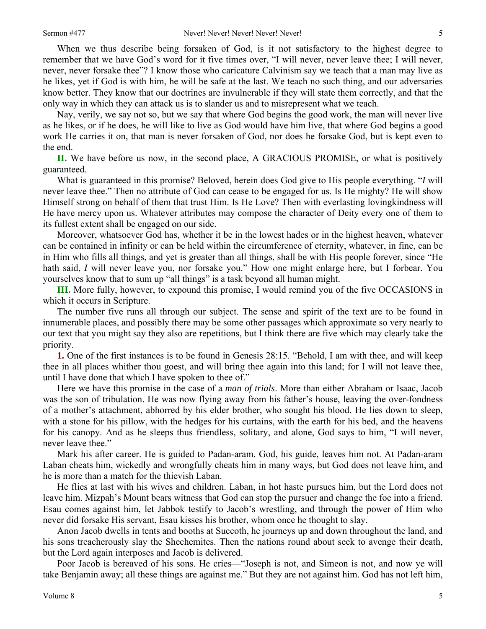When we thus describe being forsaken of God, is it not satisfactory to the highest degree to remember that we have God's word for it five times over, "I will never, never leave thee; I will never, never, never forsake thee"? I know those who caricature Calvinism say we teach that a man may live as he likes, yet if God is with him, he will be safe at the last. We teach no such thing, and our adversaries know better. They know that our doctrines are invulnerable if they will state them correctly, and that the only way in which they can attack us is to slander us and to misrepresent what we teach.

Nay, verily, we say not so, but we say that where God begins the good work, the man will never live as he likes, or if he does, he will like to live as God would have him live, that where God begins a good work He carries it on, that man is never forsaken of God, nor does he forsake God, but is kept even to the end.

**II.** We have before us now, in the second place, A GRACIOUS PROMISE, or what is positively guaranteed.

What is guaranteed in this promise? Beloved, herein does God give to His people everything. "*I* will never leave thee." Then no attribute of God can cease to be engaged for us. Is He mighty? He will show Himself strong on behalf of them that trust Him. Is He Love? Then with everlasting lovingkindness will He have mercy upon us. Whatever attributes may compose the character of Deity every one of them to its fullest extent shall be engaged on our side.

Moreover, whatsoever God has, whether it be in the lowest hades or in the highest heaven, whatever can be contained in infinity or can be held within the circumference of eternity, whatever, in fine, can be in Him who fills all things, and yet is greater than all things, shall be with His people forever, since "He hath said, *I* will never leave you, nor forsake you." How one might enlarge here, but I forbear. You yourselves know that to sum up "all things" is a task beyond all human might.

**III.** More fully, however, to expound this promise, I would remind you of the five OCCASIONS in which it occurs in Scripture.

The number five runs all through our subject. The sense and spirit of the text are to be found in innumerable places, and possibly there may be some other passages which approximate so very nearly to our text that you might say they also are repetitions, but I think there are five which may clearly take the priority.

**1.** One of the first instances is to be found in Genesis 28:15. "Behold, I am with thee, and will keep thee in all places whither thou goest, and will bring thee again into this land; for I will not leave thee, until I have done that which I have spoken to thee of."

Here we have this promise in the case of a *man of trials*. More than either Abraham or Isaac, Jacob was the son of tribulation. He was now flying away from his father's house, leaving the over-fondness of a mother's attachment, abhorred by his elder brother, who sought his blood. He lies down to sleep, with a stone for his pillow, with the hedges for his curtains, with the earth for his bed, and the heavens for his canopy. And as he sleeps thus friendless, solitary, and alone, God says to him, "I will never, never leave thee."

Mark his after career. He is guided to Padan-aram. God, his guide, leaves him not. At Padan-aram Laban cheats him, wickedly and wrongfully cheats him in many ways, but God does not leave him, and he is more than a match for the thievish Laban.

He flies at last with his wives and children. Laban, in hot haste pursues him, but the Lord does not leave him. Mizpah's Mount bears witness that God can stop the pursuer and change the foe into a friend. Esau comes against him, let Jabbok testify to Jacob's wrestling, and through the power of Him who never did forsake His servant, Esau kisses his brother, whom once he thought to slay.

Anon Jacob dwells in tents and booths at Succoth, he journeys up and down throughout the land, and his sons treacherously slay the Shechemites. Then the nations round about seek to avenge their death, but the Lord again interposes and Jacob is delivered.

Poor Jacob is bereaved of his sons. He cries—"Joseph is not, and Simeon is not, and now ye will take Benjamin away; all these things are against me." But they are not against him. God has not left him,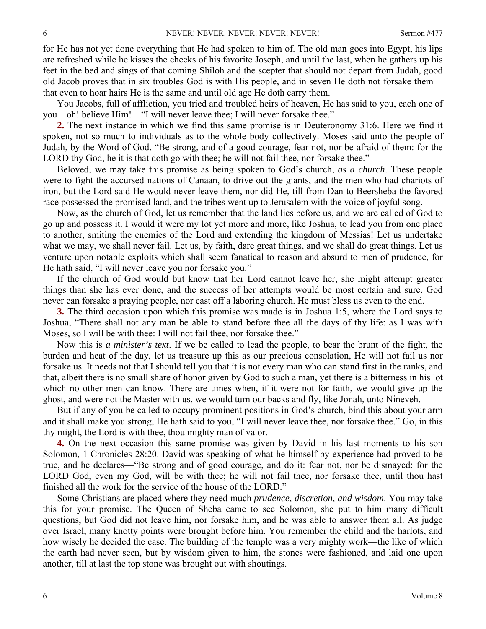for He has not yet done everything that He had spoken to him of. The old man goes into Egypt, his lips are refreshed while he kisses the cheeks of his favorite Joseph, and until the last, when he gathers up his feet in the bed and sings of that coming Shiloh and the scepter that should not depart from Judah, good old Jacob proves that in six troubles God is with His people, and in seven He doth not forsake them that even to hoar hairs He is the same and until old age He doth carry them.

You Jacobs, full of affliction, you tried and troubled heirs of heaven, He has said to you, each one of you—oh! believe Him!—"I will never leave thee; I will never forsake thee."

**2.** The next instance in which we find this same promise is in Deuteronomy 31:6. Here we find it spoken, not so much to individuals as to the whole body collectively. Moses said unto the people of Judah, by the Word of God, "Be strong, and of a good courage, fear not, nor be afraid of them: for the LORD thy God, he it is that doth go with thee; he will not fail thee, nor forsake thee."

Beloved, we may take this promise as being spoken to God's church, *as a church*. These people were to fight the accursed nations of Canaan, to drive out the giants, and the men who had chariots of iron, but the Lord said He would never leave them, nor did He, till from Dan to Beersheba the favored race possessed the promised land, and the tribes went up to Jerusalem with the voice of joyful song.

Now, as the church of God, let us remember that the land lies before us, and we are called of God to go up and possess it. I would it were my lot yet more and more, like Joshua, to lead you from one place to another, smiting the enemies of the Lord and extending the kingdom of Messias! Let us undertake what we may, we shall never fail. Let us, by faith, dare great things, and we shall do great things. Let us venture upon notable exploits which shall seem fanatical to reason and absurd to men of prudence, for He hath said, "I will never leave you nor forsake you."

If the church of God would but know that her Lord cannot leave her, she might attempt greater things than she has ever done, and the success of her attempts would be most certain and sure. God never can forsake a praying people, nor cast off a laboring church. He must bless us even to the end.

**3.** The third occasion upon which this promise was made is in Joshua 1:5, where the Lord says to Joshua, "There shall not any man be able to stand before thee all the days of thy life: as I was with Moses, so I will be with thee: I will not fail thee, nor forsake thee."

Now this is *a minister's text*. If we be called to lead the people, to bear the brunt of the fight, the burden and heat of the day, let us treasure up this as our precious consolation, He will not fail us nor forsake us. It needs not that I should tell you that it is not every man who can stand first in the ranks, and that, albeit there is no small share of honor given by God to such a man, yet there is a bitterness in his lot which no other men can know. There are times when, if it were not for faith, we would give up the ghost, and were not the Master with us, we would turn our backs and fly, like Jonah, unto Nineveh.

But if any of you be called to occupy prominent positions in God's church, bind this about your arm and it shall make you strong, He hath said to you, "I will never leave thee, nor forsake thee." Go, in this thy might, the Lord is with thee, thou mighty man of valor.

**4.** On the next occasion this same promise was given by David in his last moments to his son Solomon, 1 Chronicles 28:20. David was speaking of what he himself by experience had proved to be true, and he declares—"Be strong and of good courage, and do it: fear not, nor be dismayed: for the LORD God, even my God, will be with thee; he will not fail thee, nor forsake thee, until thou hast finished all the work for the service of the house of the LORD."

Some Christians are placed where they need much *prudence, discretion, and wisdom*. You may take this for your promise. The Queen of Sheba came to see Solomon, she put to him many difficult questions, but God did not leave him, nor forsake him, and he was able to answer them all. As judge over Israel, many knotty points were brought before him. You remember the child and the harlots, and how wisely he decided the case. The building of the temple was a very mighty work—the like of which the earth had never seen, but by wisdom given to him, the stones were fashioned, and laid one upon another, till at last the top stone was brought out with shoutings.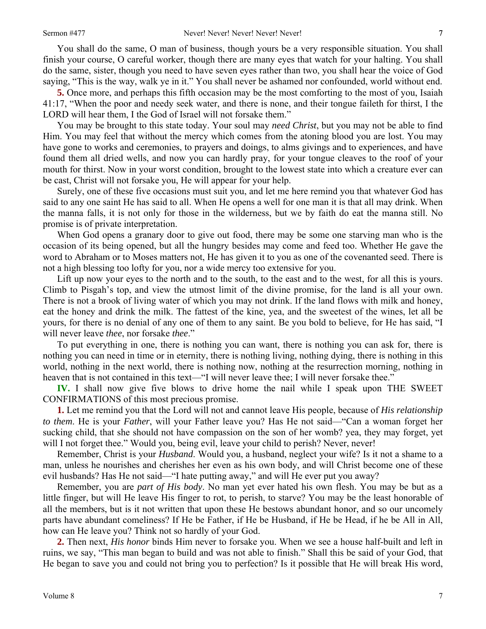You shall do the same, O man of business, though yours be a very responsible situation. You shall finish your course, O careful worker, though there are many eyes that watch for your halting. You shall do the same, sister, though you need to have seven eyes rather than two, you shall hear the voice of God saying, "This is the way, walk ye in it." You shall never be ashamed nor confounded, world without end.

**5.** Once more, and perhaps this fifth occasion may be the most comforting to the most of you, Isaiah 41:17, "When the poor and needy seek water, and there is none, and their tongue faileth for thirst, I the LORD will hear them, I the God of Israel will not forsake them."

You may be brought to this state today. Your soul may *need Christ*, but you may not be able to find Him. You may feel that without the mercy which comes from the atoning blood you are lost. You may have gone to works and ceremonies, to prayers and doings, to alms givings and to experiences, and have found them all dried wells, and now you can hardly pray, for your tongue cleaves to the roof of your mouth for thirst. Now in your worst condition, brought to the lowest state into which a creature ever can be cast, Christ will not forsake you, He will appear for your help.

Surely, one of these five occasions must suit you, and let me here remind you that whatever God has said to any one saint He has said to all. When He opens a well for one man it is that all may drink. When the manna falls, it is not only for those in the wilderness, but we by faith do eat the manna still. No promise is of private interpretation.

When God opens a granary door to give out food, there may be some one starving man who is the occasion of its being opened, but all the hungry besides may come and feed too. Whether He gave the word to Abraham or to Moses matters not, He has given it to you as one of the covenanted seed. There is not a high blessing too lofty for you, nor a wide mercy too extensive for you.

Lift up now your eyes to the north and to the south, to the east and to the west, for all this is yours. Climb to Pisgah's top, and view the utmost limit of the divine promise, for the land is all your own. There is not a brook of living water of which you may not drink. If the land flows with milk and honey, eat the honey and drink the milk. The fattest of the kine, yea, and the sweetest of the wines, let all be yours, for there is no denial of any one of them to any saint. Be you bold to believe, for He has said, "I will never leave *thee*, nor forsake *thee*."

To put everything in one, there is nothing you can want, there is nothing you can ask for, there is nothing you can need in time or in eternity, there is nothing living, nothing dying, there is nothing in this world, nothing in the next world, there is nothing now, nothing at the resurrection morning, nothing in heaven that is not contained in this text—"I will never leave thee; I will never forsake thee."

**IV.** I shall now give five blows to drive home the nail while I speak upon THE SWEET CONFIRMATIONS of this most precious promise.

**1.** Let me remind you that the Lord will not and cannot leave His people, because of *His relationship to them*. He is your *Father*, will your Father leave you? Has He not said—"Can a woman forget her sucking child, that she should not have compassion on the son of her womb? yea, they may forget, yet will I not forget thee." Would you, being evil, leave your child to perish? Never, never!

Remember, Christ is your *Husband*. Would you, a husband, neglect your wife? Is it not a shame to a man, unless he nourishes and cherishes her even as his own body, and will Christ become one of these evil husbands? Has He not said—"I hate putting away," and will He ever put you away?

Remember, you are *part of His body*. No man yet ever hated his own flesh. You may be but as a little finger, but will He leave His finger to rot, to perish, to starve? You may be the least honorable of all the members, but is it not written that upon these He bestows abundant honor, and so our uncomely parts have abundant comeliness? If He be Father, if He be Husband, if He be Head, if he be All in All, how can He leave you? Think not so hardly of your God.

**2.** Then next, *His honor* binds Him never to forsake you. When we see a house half-built and left in ruins, we say, "This man began to build and was not able to finish." Shall this be said of your God, that He began to save you and could not bring you to perfection? Is it possible that He will break His word,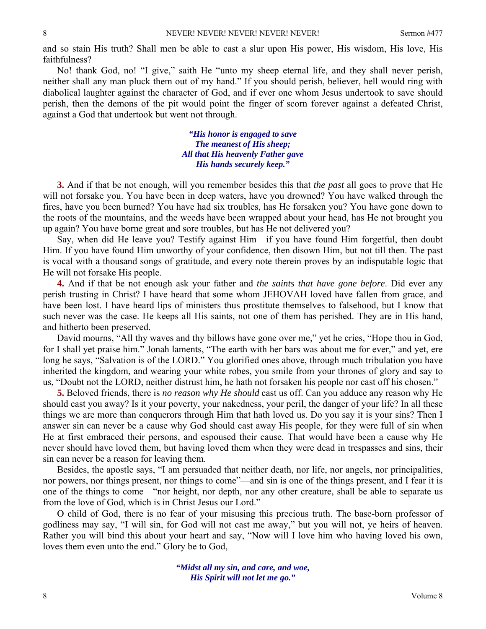and so stain His truth? Shall men be able to cast a slur upon His power, His wisdom, His love, His faithfulness?

No! thank God, no! "I give," saith He "unto my sheep eternal life, and they shall never perish, neither shall any man pluck them out of my hand." If you should perish, believer, hell would ring with diabolical laughter against the character of God, and if ever one whom Jesus undertook to save should perish, then the demons of the pit would point the finger of scorn forever against a defeated Christ, against a God that undertook but went not through.

> *"His honor is engaged to save The meanest of His sheep; All that His heavenly Father gave His hands securely keep."*

**3.** And if that be not enough, will you remember besides this that *the past* all goes to prove that He will not forsake you. You have been in deep waters, have you drowned? You have walked through the fires, have you been burned? You have had six troubles, has He forsaken you? You have gone down to the roots of the mountains, and the weeds have been wrapped about your head, has He not brought you up again? You have borne great and sore troubles, but has He not delivered you?

Say, when did He leave you? Testify against Him—if you have found Him forgetful, then doubt Him. If you have found Him unworthy of your confidence, then disown Him, but not till then. The past is vocal with a thousand songs of gratitude, and every note therein proves by an indisputable logic that He will not forsake His people.

**4.** And if that be not enough ask your father and *the saints that have gone before*. Did ever any perish trusting in Christ? I have heard that some whom JEHOVAH loved have fallen from grace, and have been lost. I have heard lips of ministers thus prostitute themselves to falsehood, but I know that such never was the case. He keeps all His saints, not one of them has perished. They are in His hand, and hitherto been preserved.

David mourns, "All thy waves and thy billows have gone over me," yet he cries, "Hope thou in God, for I shall yet praise him." Jonah laments, "The earth with her bars was about me for ever," and yet, ere long he says, "Salvation is of the LORD." You glorified ones above, through much tribulation you have inherited the kingdom, and wearing your white robes, you smile from your thrones of glory and say to us, "Doubt not the LORD, neither distrust him, he hath not forsaken his people nor cast off his chosen."

**5.** Beloved friends, there is *no reason why He should* cast us off. Can you adduce any reason why He should cast you away? Is it your poverty, your nakedness, your peril, the danger of your life? In all these things we are more than conquerors through Him that hath loved us. Do you say it is your sins? Then I answer sin can never be a cause why God should cast away His people, for they were full of sin when He at first embraced their persons, and espoused their cause. That would have been a cause why He never should have loved them, but having loved them when they were dead in trespasses and sins, their sin can never be a reason for leaving them.

Besides, the apostle says, "I am persuaded that neither death, nor life, nor angels, nor principalities, nor powers, nor things present, nor things to come"—and sin is one of the things present, and I fear it is one of the things to come—"nor height, nor depth, nor any other creature, shall be able to separate us from the love of God, which is in Christ Jesus our Lord."

O child of God, there is no fear of your misusing this precious truth. The base-born professor of godliness may say, "I will sin, for God will not cast me away," but you will not, ye heirs of heaven. Rather you will bind this about your heart and say, "Now will I love him who having loved his own, loves them even unto the end." Glory be to God,

> *"Midst all my sin, and care, and woe, His Spirit will not let me go."*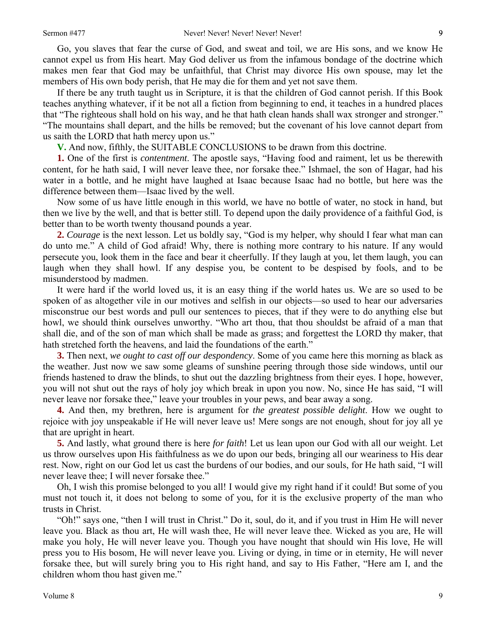Go, you slaves that fear the curse of God, and sweat and toil, we are His sons, and we know He cannot expel us from His heart. May God deliver us from the infamous bondage of the doctrine which makes men fear that God may be unfaithful, that Christ may divorce His own spouse, may let the members of His own body perish, that He may die for them and yet not save them.

If there be any truth taught us in Scripture, it is that the children of God cannot perish. If this Book teaches anything whatever, if it be not all a fiction from beginning to end, it teaches in a hundred places that "The righteous shall hold on his way, and he that hath clean hands shall wax stronger and stronger." "The mountains shall depart, and the hills be removed; but the covenant of his love cannot depart from us saith the LORD that hath mercy upon us."

**V.** And now, fifthly, the SUITABLE CONCLUSIONS to be drawn from this doctrine.

**1.** One of the first is *contentment*. The apostle says, "Having food and raiment, let us be therewith content, for he hath said, I will never leave thee, nor forsake thee." Ishmael, the son of Hagar, had his water in a bottle, and he might have laughed at Isaac because Isaac had no bottle, but here was the difference between them—Isaac lived by the well.

Now some of us have little enough in this world, we have no bottle of water, no stock in hand, but then we live by the well, and that is better still. To depend upon the daily providence of a faithful God, is better than to be worth twenty thousand pounds a year.

**2.** *Courage* is the next lesson. Let us boldly say, "God is my helper, why should I fear what man can do unto me." A child of God afraid! Why, there is nothing more contrary to his nature. If any would persecute you, look them in the face and bear it cheerfully. If they laugh at you, let them laugh, you can laugh when they shall howl. If any despise you, be content to be despised by fools, and to be misunderstood by madmen.

It were hard if the world loved us, it is an easy thing if the world hates us. We are so used to be spoken of as altogether vile in our motives and selfish in our objects—so used to hear our adversaries misconstrue our best words and pull our sentences to pieces, that if they were to do anything else but howl, we should think ourselves unworthy. "Who art thou, that thou shouldst be afraid of a man that shall die, and of the son of man which shall be made as grass; and forgettest the LORD thy maker, that hath stretched forth the heavens, and laid the foundations of the earth."

**3.** Then next, *we ought to cast off our despondency*. Some of you came here this morning as black as the weather. Just now we saw some gleams of sunshine peering through those side windows, until our friends hastened to draw the blinds, to shut out the dazzling brightness from their eyes. I hope, however, you will not shut out the rays of holy joy which break in upon you now. No, since He has said, "I will never leave nor forsake thee," leave your troubles in your pews, and bear away a song.

**4.** And then, my brethren, here is argument for *the greatest possible delight*. How we ought to rejoice with joy unspeakable if He will never leave us! Mere songs are not enough, shout for joy all ye that are upright in heart.

**5.** And lastly, what ground there is here *for faith*! Let us lean upon our God with all our weight. Let us throw ourselves upon His faithfulness as we do upon our beds, bringing all our weariness to His dear rest. Now, right on our God let us cast the burdens of our bodies, and our souls, for He hath said, "I will never leave thee; I will never forsake thee."

Oh, I wish this promise belonged to you all! I would give my right hand if it could! But some of you must not touch it, it does not belong to some of you, for it is the exclusive property of the man who trusts in Christ.

"Oh!" says one, "then I will trust in Christ." Do it, soul, do it, and if you trust in Him He will never leave you. Black as thou art, He will wash thee, He will never leave thee. Wicked as you are, He will make you holy, He will never leave you. Though you have nought that should win His love, He will press you to His bosom, He will never leave you. Living or dying, in time or in eternity, He will never forsake thee, but will surely bring you to His right hand, and say to His Father, "Here am I, and the children whom thou hast given me."